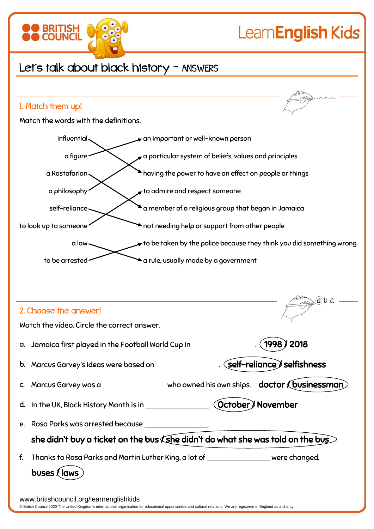

## Let's talk about black history - ANSWERS

**BRITISH** 

## 1. Match them up! Match the words with the definitions. influential an important or well-known person a figure a particular system of beliefs, values and principles  $\alpha$  Rastafarian having the power to have an effect on people or things a philosophy  $\sim$  to admire and respect someone self-reliance a member of a religious group that began in Jamaica to look up to someone a law to be taken by the police because they think you did something wrong to be arrested  $\leftarrow$  a rule, usually made by a government  $ab$  c 2. Choose the answer! Watch the video. Circle the correct answer. a. Jamaica first played in the Football World Cup in . 1998 / 2018 b. Marcus Garvey's ideas were based on \_\_\_\_\_\_\_\_\_\_\_\_\_\_\_. (self-reliance) selfishness c. Marcus Garvey was a \_\_\_\_\_\_\_\_\_\_\_\_\_\_\_\_ who owned his own ships. doctor (businessman) d. In the UK, Black History Month is in \_\_\_\_\_\_\_\_\_\_\_\_\_\_. (October) November e. Rosa Parks was arrested because . she didn't buy a ticket on the bus  $\zeta$ she didn't do what she was told on the bus $>$ f. Thanks to Rosa Parks and Martin Luther King, a lot of were changed. buses / lawswww.britishcouncil.org/learnenglishkids

© British Council 2020 The United Kingdom's international organisation for educational opportunities and cultural relations. We are registered in England as a charity.